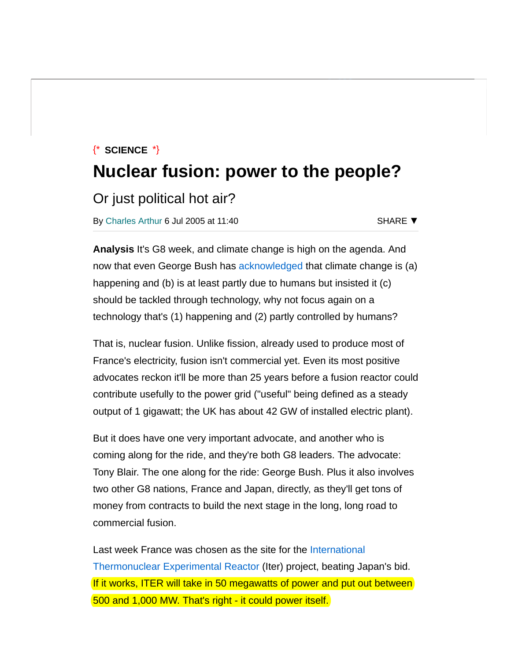# $\{\star\}$  Science  $\star\}$ Nuclear fusion: power to the people?

Or just political hot air?

By [Charles Arthur](https://www.theregister.co.uk/Author/Charles-Arthur) 6 Jul 2005 at 11:40

SHARE ▼

Analysis It's G8 week, and climate change is high on the agenda. And now that even George Bush has [acknowledged](http://www.guardian.co.uk/g8/story/0,13365,1521149,00.html) that climate change is (a) happening and (b) is at least partly due to humans but insisted it (c) should be tackled through technology, why not focus again on a technology that's (1) happening and (2) partly controlled by humans?

That is, nuclear fusion. Unlike fission, already used to produce most of France's electricity, fusion isn't commercial yet. Even its most positive advocates reckon it'll be more than 25 years before a fusion reactor could contribute usefully to the power grid ("useful" being defined as a steady output of 1 gigawatt; the UK has about 42 GW of installed electric plant).

But it does have one very important advocate, and another who is coming along for the ride, and they're both G8 leaders. The advocate: Tony Blair. The one along for the ride: George Bush. Plus it also involves two other G8 nations, France and Japan, directly, as they'll get tons of money from contracts to build the next stage in the long, long road to commercial fusion.

[Last week France was chosen as the site for the International](http://www.iter.org/index.htm) Thermonuclear Experimental Reactor (Iter) project, beating Japan's bid. If it works, ITER will take in 50 megawatts of power and put out between 500 and 1,000 MW. That's right - it could power itself.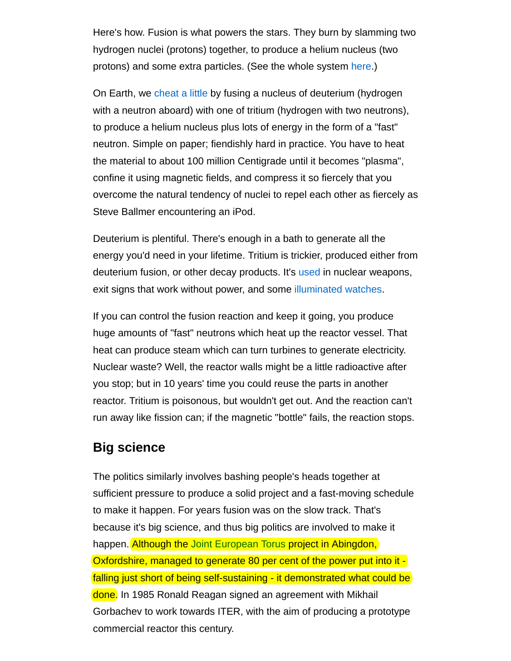Here's how. Fusion is what powers the stars. They burn by slamming two hydrogen nuclei (protons) together, to produce a helium nucleus (two protons) and some extra particles. (See the whole system [here.](http://www.astronomynotes.com/starsun/s3.htm))

On Earth, we [cheat a little](http://hyperphysics.phy-astr.gsu.edu/hbase/nucene/fusion.html) by fusing a nucleus of deuterium (hydrogen with a neutron aboard) with one of tritium (hydrogen with two neutrons), to produce a helium nucleus plus lots of energy in the form of a "fast" neutron. Simple on paper; fiendishly hard in practice. You have to heat the material to about 100 million Centigrade until it becomes "plasma", confine it using magnetic fields, and compress it so fiercely that you overcome the natural tendency of nuclei to repel each other as fiercely as Steve Ballmer encountering an iPod.

Deuterium is plentiful. There's enough in a bath to generate all the energy you'd need in your lifetime. Tritium is trickier, produced either from deuterium fusion, or other decay products. It's [used](http://www.theregister.co.uk/2002/11/20/the_truth_about_tritium/) in nuclear weapons, exit signs that work without power, and some [illuminated watches.](http://www.timezone.com/library/archives/archives631704126660375902)

If you can control the fusion reaction and keep it going, you produce huge amounts of "fast" neutrons which heat up the reactor vessel. That heat can produce steam which can turn turbines to generate electricity. Nuclear waste? Well, the reactor walls might be a little radioactive after you stop; but in 10 years' time you could reuse the parts in another reactor. Tritium is poisonous, but wouldn't get out. And the reaction can't run away like fission can; if the magnetic "bottle" fails, the reaction stops.

## Big science

The politics similarly involves bashing people's heads together at sufficient pressure to produce a solid project and a fast-moving schedule to make it happen. For years fusion was on the slow track. That's because it's big science, and thus big politics are involved to make it happen. Although the [Joint European Torus](http://www.jet.efda.org/) project in Abingdon, Oxfordshire, managed to generate 80 per cent of the power put into it falling just short of being self-sustaining - it demonstrated what could be done. In 1985 Ronald Reagan signed an agreement with Mikhail Gorbachev to work towards ITER, with the aim of producing a prototype commercial reactor this century.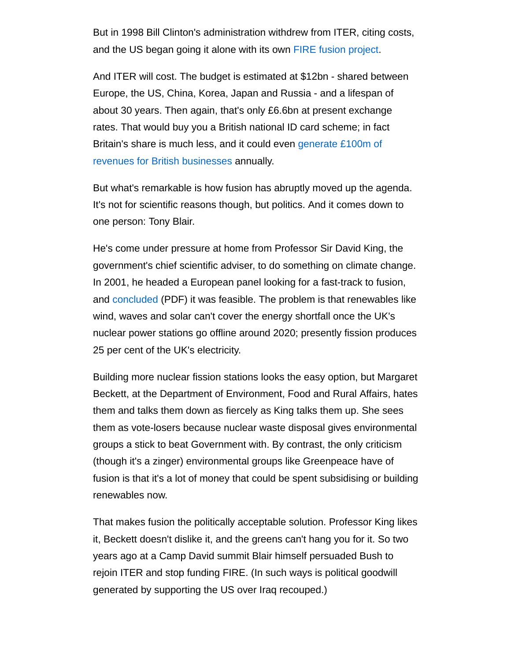But in 1998 Bill Clinton's administration withdrew from ITER, citing costs, and the US began going it alone with its own [FIRE fusion project.](http://fire.pppl.gov/fire_program.htm)

And ITER will cost. The budget is estimated at \$12bn - shared between Europe, the US, China, Korea, Japan and Russia - and a lifespan of about 30 years. Then again, that's only £6.6bn at present exchange rates. That would buy you a British national ID card scheme; in fact [Britain's share is much less, and it could even generate £100m of](http://www.telegraph.co.uk/money/main.jhtml?xml=/money/2005/07/03/cnfusion03.xml&menuId=242&sSheet=/money/2005/07/03/ixcity.html) revenues for British businesses annually.

But what's remarkable is how fusion has abruptly moved up the agenda. It's not for scientific reasons though, but politics. And it comes down to one person: Tony Blair.

He's come under pressure at home from Professor Sir David King, the government's chief scientific adviser, to do something on climate change. In 2001, he headed a European panel looking for a fast-track to fusion, and [concluded](http://fire.pppl.gov/eu_fast_track_101201.pdf) (PDF) it was feasible. The problem is that renewables like wind, waves and solar can't cover the energy shortfall once the UK's nuclear power stations go offline around 2020; presently fission produces 25 per cent of the UK's electricity.

Building more nuclear fission stations looks the easy option, but Margaret Beckett, at the Department of Environment, Food and Rural Affairs, hates them and talks them down as fiercely as King talks them up. She sees them as vote-losers because nuclear waste disposal gives environmental groups a stick to beat Government with. By contrast, the only criticism (though it's a zinger) environmental groups like Greenpeace have of fusion is that it's a lot of money that could be spent subsidising or building renewables now.

That makes fusion the politically acceptable solution. Professor King likes it, Beckett doesn't dislike it, and the greens can't hang you for it. So two years ago at a Camp David summit Blair himself persuaded Bush to rejoin ITER and stop funding FIRE. (In such ways is political goodwill generated by supporting the US over Iraq recouped.)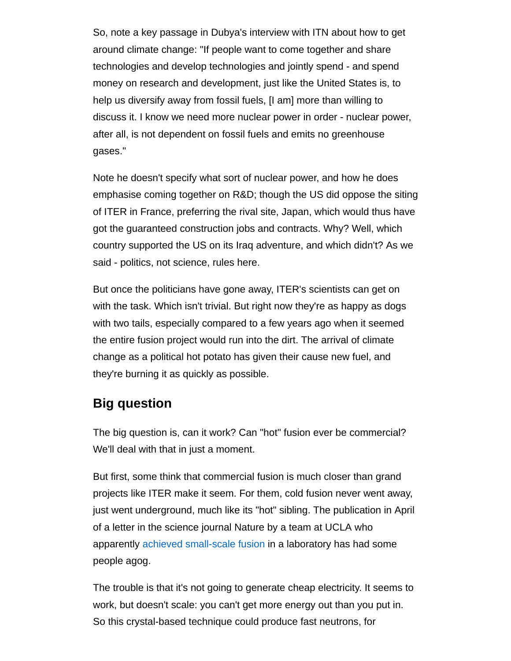So, note a key passage in Dubya's interview with ITN about how to get around climate change: "If people want to come together and share technologies and develop technologies and jointly spend - and spend money on research and development, just like the United States is, to help us diversify away from fossil fuels, [I am] more than willing to discuss it. I know we need more nuclear power in order - nuclear power, after all, is not dependent on fossil fuels and emits no greenhouse gases."

Note he doesn't specify what sort of nuclear power, and how he does emphasise coming together on R&D; though the US did oppose the siting of ITER in France, preferring the rival site, Japan, which would thus have got the guaranteed construction jobs and contracts. Why? Well, which country supported the US on its Iraq adventure, and which didn't? As we said - politics, not science, rules here.

But once the politicians have gone away, ITER's scientists can get on with the task. Which isn't trivial. But right now they're as happy as dogs with two tails, especially compared to a few years ago when it seemed the entire fusion project would run into the dirt. The arrival of climate change as a political hot potato has given their cause new fuel, and they're burning it as quickly as possible.

## Big question

The big question is, can it work? Can "hot" fusion ever be commercial? We'll deal with that in just a moment.

But first, some think that commercial fusion is much closer than grand projects like ITER make it seem. For them, cold fusion never went away, just went underground, much like its "hot" sibling. The publication in April of a letter in the science journal Nature by a team at UCLA who apparently [achieved small-scale fusion](http://msnbc.msn.com/id/7654627/) in a laboratory has had some people agog.

The trouble is that it's not going to generate cheap electricity. It seems to work, but doesn't scale: you can't get more energy out than you put in. So this crystal-based technique could produce fast neutrons, for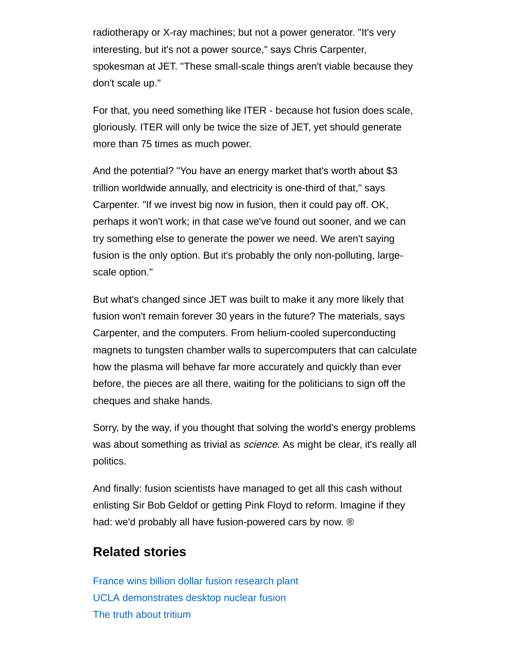radiotherapy or X-ray machines; but not a power generator. "It's very interesting, but it's not a power source," says Chris Carpenter, spokesman at JET. "These small-scale things aren't viable because they don't scale up."

For that, you need something like ITER - because hot fusion does scale, gloriously. ITER will only be twice the size of JET, yet should generate more than 75 times as much power.

And the potential? "You have an energy market that's worth about \$3 trillion worldwide annually, and electricity is one-third of that," says Carpenter. "If we invest big now in fusion, then it could pay off. OK, perhaps it won't work; in that case we've found out sooner, and we can try something else to generate the power we need. We aren't saying fusion is the only option. But it's probably the only non-polluting, largescale option."

But what's changed since JET was built to make it any more likely that fusion won't remain forever 30 years in the future? The materials, says Carpenter, and the computers. From helium-cooled superconducting magnets to tungsten chamber walls to supercomputers that can calculate how the plasma will behave far more accurately and quickly than ever before, the pieces are all there, waiting for the politicians to sign off the cheques and shake hands.

Sorry, by the way, if you thought that solving the world's energy problems was about something as trivial as *science*. As might be clear, it's really all politics.

And finally: fusion scientists have managed to get all this cash without enlisting Sir Bob Geldof or getting Pink Floyd to reform. Imagine if they had: we'd probably all have fusion-powered cars by now. ®

# Related stories

[France wins billion dollar fusion research plant](http://www.theregister.co.uk/2005/06/29/france_fusion_win/) [UCLA demonstrates desktop nuclear fusion](http://www.theregister.co.uk/2005/04/28/desktop_nuclear_fusion/) [The truth about tritium](http://www.theregister.co.uk/2002/11/20/the_truth_about_tritium/)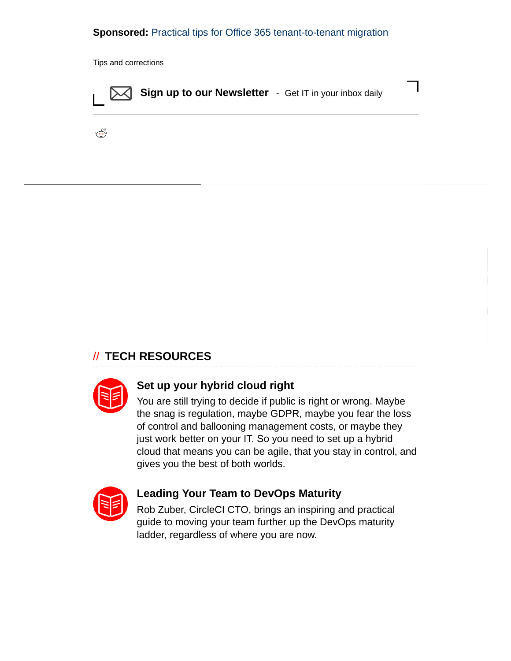#### Sponsored: [Practical tips for Office 365 tenant-to-tenant migration](https://go.theregister.co.uk/tl/1916/-8373/practical-tips-for-office-365-tenant-to-tenant-migration?td=wptl1916bt)

Tips and [corrections](mailto:corrections@theregister.co.uk?subject=%5Bcorrection%5D%20Nuclear%20fusion%3A%20power%20to%20the%20people%3F&body=re:%20http%3A%2F%2Fwww.theregister.co.uk/2005/07/06/nuclear_fusion/)



گ

#### // TECH [RESOURCES](https://whitepapers.theregister.co.uk/)



#### Set up your hybrid cloud right

You are still trying to decide if public is right or wrong. Maybe the snag is regulation, maybe GDPR, maybe you fear the loss of control and ballooning management costs, or maybe they just work better on your IT. So you need to set up a hybrid [cloud that means you can be agile, that you stay in control, and](https://whitepapers.theregister.co.uk/paper/view/8508/set-up-your-hybrid-cloud-right?td=s-uu) gives you the best of both worlds.



## Leading Your Team to DevOps Maturity

[Rob Zuber, CircleCI CTO, brings an inspiring and practical](https://whitepapers.theregister.co.uk/paper/view/8546/leading-your-team-to-devops-maturity?td=s-uu) guide to moving your team further up the DevOps maturity ladder, regardless of where you are now.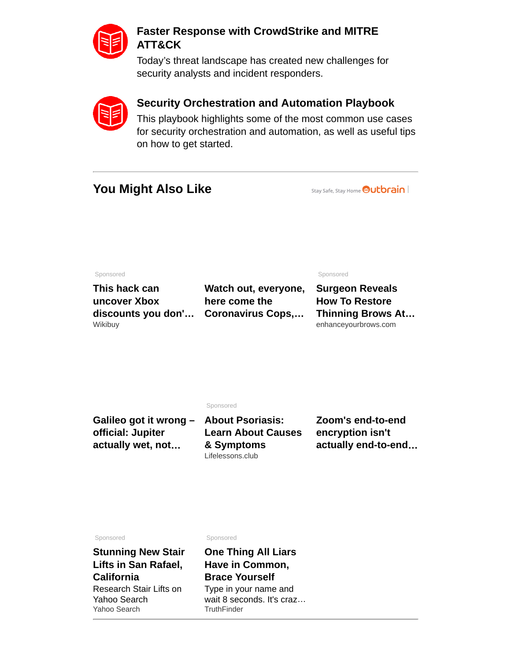

### Faster Response with CrowdStrike and MITRE ATT&CK

[Today's threat landscape has created new challenges for](https://whitepapers.theregister.co.uk/paper/view/8295/faster-response-with-crowdstrike-and-mitre-att-and-ck?td=s-uu) security analysts and incident responders.



### Security Orchestration and Automation Playbook

This playbook highlights some of the most common use cases [for security orchestration and automation, as well as useful tips](https://whitepapers.theregister.co.uk/paper/view/8512/security-orchestration-and-automation-playbook?td=s-uu) on how to get started.

# You Might Also Like

Stay Safe, Stay Home **Outbrain** 

Sponsored

This hack can uncover Xbox [discounts you don'…](https://wikibuy.com/blog/heres-the-best-way-to-score-xbox-gear-fda4f56d0970?utm_source=Newton&utm_campaign=00a5713bb79013087576eb043657538fd8&utm_term=009441cda6cf96724c24566320297f81d3&obOrigUrl=true) Wikibuy

Sponsored

Surgeon Reveals How To Restore [Thinning Brows At…](https://beverlyhillsmd.com/cmd.php?ad=963879&obOrigUrl=true) enhanceyourbrows.com

Sponsored

| Galileo got it wrong - About Psoriasis: |                           | Zoom's end-to-end   |
|-----------------------------------------|---------------------------|---------------------|
| official: Jupiter                       | <b>Learn About Causes</b> | encryption isn't    |
| actually wet, not                       | & Symptoms                | actually end-to-end |
|                                         | Lifelessons.club          |                     |

Watch out, everyone,

[Coronavirus Cops,…](https://www.theregister.co.uk/2020/04/09/coronavirus_cops_code/?obOrigUrl=true)

here come the

Sponsored

[Stunning New Stair](https://r1.zemanta.com/r/u1jhyo99kgzk/b1_outbrainrtb/884482/11205603/FJSUJL3J5GDSXEPKEYGX6W63D354OJQJ4SPRZIZASC3XQJ4HMRV46XNAZUCYZ6J6J4D6K2D6MUW6ENZRR72VJ2LRCLTTV3WNJLD65256ZFM26M4ZBOTRDBOPPP5OKBXZGBWZ6XOPMDVH7QEITY7G2Y3D4XR7PO5YSC7WMQJHCQ47NART4EWPB5ADDIV2TU64ZYNFL72ZLSONEGG7SROLPD6CH7Q7XLZB4FJUV77Z23HE5F2JWUYHQ3DIFNWNPQV7DETRRAFLM5N47W7AZULPQ3MO3IP5FZBXIDJFMIKDLWOXQRX6W2S3HWKDMS2PTJMVTFUWUOZJWCFZKKEKEJPCMUR7FWNKB65ZEQGHIPLDWRQZRY54KDCE4I6H3BZ22Y5CQIHMEOZGIORAAOGJM74IPVLPFI5QPUS23AUO3TAY2CEWDAMRHASVNFRNTMUH4NU6L2KMNIU33QF4AT6S4ETW3RQSMHHDJ47YSZYLNWSXO5LCBXEEJIZEUMHRSWC36BKDCHELCJMRSEVQONUCVL7R4R7HCQ/?obOrigUrl=true) Lifts in San Rafael, California Research Stair Lifts on Yahoo Search Yahoo Search

Sponsored

[One Thing All Liars](https://r1.zemanta.com/r/u1kds75xx5og/b1_outbrainrtb/189248/6723726/FJSUJL3J5GDSXEPKEYGX6W63D354OJQJ4SPRZIZASC3XQJ4HMRV46XNAZUCYZ6J6J4D6K2D6MUW6ENZRR72VJ2LRCLTTV3WNJLD65256ZFM26M4ZBOT66YEA3CZXA6NN6BYGLTJN4PE5NQEITY7G2Y3D4XR7PO5YSC7WMQJHCQ47NART4EWPB5ADDIV2TU64ZYNFL72ZLSONEGG7SROLPD6CH5PBB26VF2K6ICXZ23HE5F2JWUYHQ3DIFNWNPQV7DETRRAFLM5N47W7AZULPQ3MO3IP5FZBXIDJFMIKDLWOXQRX6W2S3HWKDMS2PTJMVTFUWUOZJWCFZKKEKEJPCMUR7FWNKB65ZEQGHIPLDWRQZRY54KDCE4I6H3BZ22Y5CQIHMEOZGIORAAOGJM74IPVLPFI5QPUS23AUO3TAY2CEWDAMRHASVNFRNTMUH4NU6L2KMNIU33QF4AT6S4ETW3RQSMHHDJ47YSZYLNWSXO5LCBXEEJIZEUMHRSWC36BKDCHELCJMRSEVQONUCVL7R4R7HCQ/?obOrigUrl=true) Have in Common, Brace Yourself Type in your name and wait 8 seconds. It's craz… **TruthFinder**